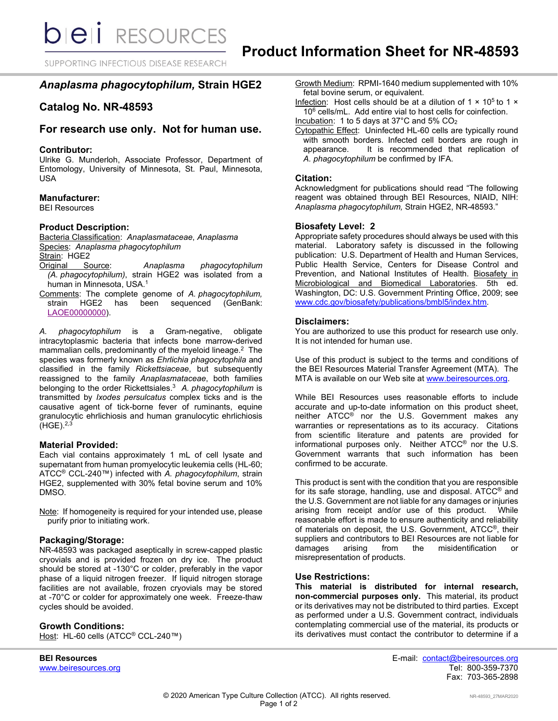SUPPORTING INFECTIOUS DISEASE RESEARCH

# *Anaplasma phagocytophilum,* **Strain HGE2**

# **Catalog No. NR-48593**

# **For research use only. Not for human use.**

#### **Contributor:**

Ulrike G. Munderloh, Associate Professor, Department of Entomology, University of Minnesota, St. Paul, Minnesota, USA

## **Manufacturer:**

BEI Resources

## **Product Description:**

Bacteria Classification: *Anaplasmataceae*, *Anaplasma* Species: *Anaplasma phagocytophilum* Strain: HGE2

- Original Source: *Anaplasma phagocytophilum (A. phagocytophilum)*, strain HGE2 was isolated from a human in Minnesota, USA. 1
- Comments: The complete genome of *A. phagocytophilum,*  strain HGE2 has been [LAOE00000000\)](https://www.ncbi.nlm.nih.gov/nuccore/LAOE00000000).

*A. phagocytophilum* is a Gram-negative, obligate intracytoplasmic bacteria that infects bone marrow-derived mammalian cells, predominantly of the myeloid lineage. 2 The species was formerly known as *Ehrlichia phagocytophila* and classified in the family *Rickettsiaceae*, but subsequently reassigned to the family *Anaplasmataceae*, both families belonging to the order Rickettsiales. 3 *A. phagocytophilum* is transmitted by *Ixodes persulcatus* complex ticks and is the causative agent of tick-borne fever of ruminants, equine granulocytic ehrlichiosis and human granulocytic ehrlichiosis  $(HGE).^{2,3}$ 

## **Material Provided:**

Each vial contains approximately 1 mL of cell lysate and supernatant from human promyelocytic leukemia cells (HL-60; ATCC® CCL-240™) infected with *A. phagocytophilum*, strain HGE2, supplemented with 30% fetal bovine serum and 10% DMSO.

Note: If homogeneity is required for your intended use, please purify prior to initiating work.

## **Packaging/Storage:**

NR-48593 was packaged aseptically in screw-capped plastic cryovials and is provided frozen on dry ice. The product should be stored at -130°C or colder, preferably in the vapor phase of a liquid nitrogen freezer. If liquid nitrogen storage facilities are not available, frozen cryovials may be stored at -70°C or colder for approximately one week. Freeze-thaw cycles should be avoided.

## **Growth Conditions:**

Host: HL-60 cells (ATCC<sup>®</sup> CCL-240™)

www.beiresources.org

Growth Medium: RPMI-1640 medium supplemented with 10% fetal bovine serum, or equivalent.

- Infection: Host cells should be at a dilution of  $1 \times 10^5$  to  $1 \times$ 10<sup>6</sup> cells/mL. Add entire vial to host cells for coinfection.
- Incubation: 1 to 5 days at 37°C and 5% CO2
- Cytopathic Effect: Uninfected HL-60 cells are typically round with smooth borders. Infected cell borders are rough in appearance. It is recommended that replication of *A. phagocytophilum* be confirmed by IFA.

#### **Citation:**

Acknowledgment for publications should read "The following reagent was obtained through BEI Resources, NIAID, NIH: *Anaplasma phagocytophilum,* Strain HGE2, NR-48593."

#### **Biosafety Level: 2**

Appropriate safety procedures should always be used with this material. Laboratory safety is discussed in the following publication: U.S. Department of Health and Human Services, Public Health Service, Centers for Disease Control and Prevention, and National Institutes of Health. Biosafety in Microbiological and Biomedical Laboratories. 5th ed. Washington, DC: U.S. Government Printing Office, 2009; see [www.cdc.gov/biosafety/publications/bmbl5/index.htm.](http://www.cdc.gov/biosafety/publications/bmbl5/index.htm)

## **Disclaimers:**

You are authorized to use this product for research use only. It is not intended for human use.

Use of this product is subject to the terms and conditions of the BEI Resources Material Transfer Agreement (MTA). The MTA is available on our Web site at [www.beiresources.org.](http://www.beiresources.org/)

While BEI Resources uses reasonable efforts to include accurate and up-to-date information on this product sheet, neither ATCC® nor the U.S. Government makes any warranties or representations as to its accuracy. Citations from scientific literature and patents are provided for informational purposes only. Neither ATCC® nor the U.S. Government warrants that such information has been confirmed to be accurate.

This product is sent with the condition that you are responsible for its safe storage, handling, use and disposal. ATCC® and the U.S. Government are not liable for any damages or injuries arising from receipt and/or use of this product. While reasonable effort is made to ensure authenticity and reliability of materials on deposit, the U.S. Government, ATCC®, their suppliers and contributors to BEI Resources are not liable for<br>damages arising from the misidentification or damages arising from the misidentification misrepresentation of products.

#### **Use Restrictions:**

**This material is distributed for internal research, non-commercial purposes only.** This material, its product or its derivatives may not be distributed to third parties. Except as performed under a U.S. Government contract, individuals contemplating commercial use of the material, its products or its derivatives must contact the contributor to determine if a